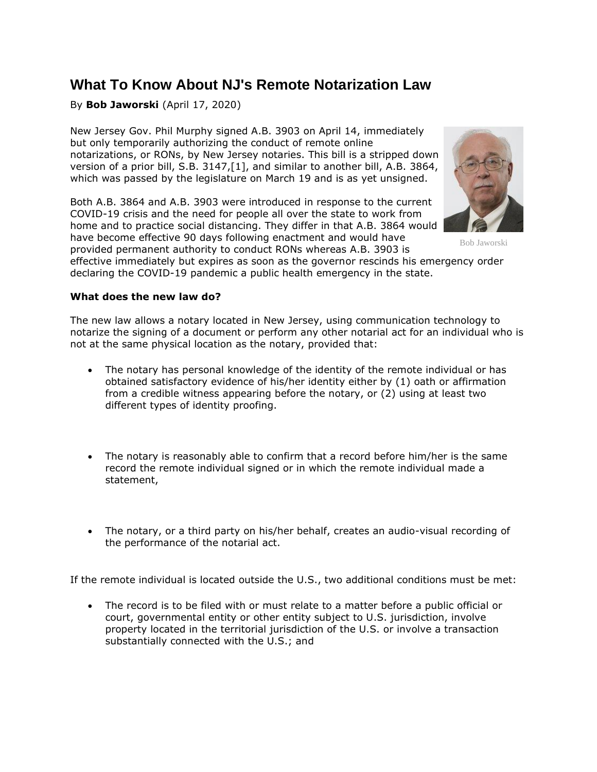# **What To Know About NJ's Remote Notarization Law**

By **Bob Jaworski** (April 17, 2020)

New Jersey Gov. Phil Murphy signed A.B. 3903 on April 14, immediately but only temporarily authorizing the conduct of remote online notarizations, or RONs, by New Jersey notaries. This bill is a stripped down version of a prior bill, S.B. 3147,[1], and similar to another bill, A.B. 3864, which was passed by the legislature on March 19 and is as yet unsigned.

Both A.B. 3864 and A.B. 3903 were introduced in response to the current COVID-19 crisis and the need for people all over the state to work from home and to practice social distancing. They differ in that A.B. 3864 would have become effective 90 days following enactment and would have provided permanent authority to conduct RONs whereas A.B. 3903 is



Bob Jaworski

effective immediately but expires as soon as the governor rescinds his emergency order declaring the COVID-19 pandemic a public health emergency in the state.

## **What does the new law do?**

The new law allows a notary located in New Jersey, using communication technology to notarize the signing of a document or perform any other notarial act for an individual who is not at the same physical location as the notary, provided that:

- The notary has personal knowledge of the identity of the remote individual or has obtained satisfactory evidence of his/her identity either by (1) oath or affirmation from a credible witness appearing before the notary, or (2) using at least two different types of identity proofing.
- The notary is reasonably able to confirm that a record before him/her is the same record the remote individual signed or in which the remote individual made a statement,
- The notary, or a third party on his/her behalf, creates an audio-visual recording of the performance of the notarial act.

If the remote individual is located outside the U.S., two additional conditions must be met:

• The record is to be filed with or must relate to a matter before a public official or court, governmental entity or other entity subject to U.S. jurisdiction, involve property located in the territorial jurisdiction of the U.S. or involve a transaction substantially connected with the U.S.; and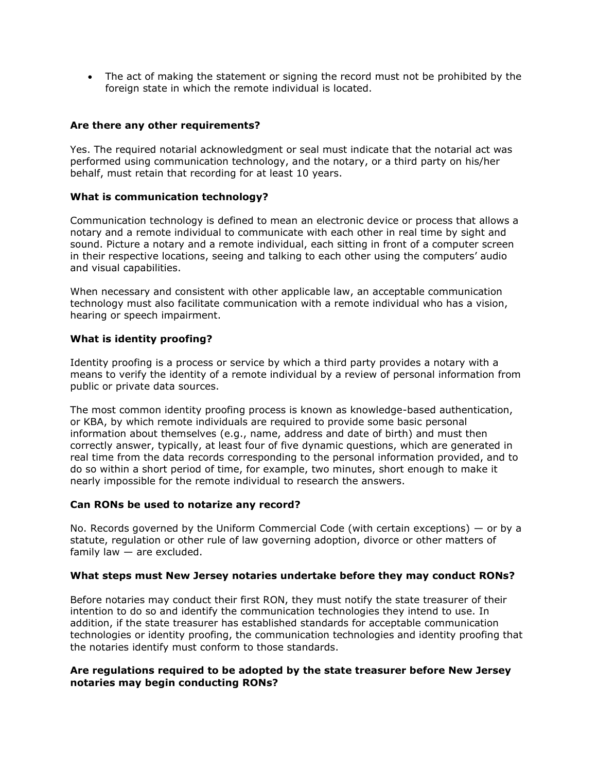• The act of making the statement or signing the record must not be prohibited by the foreign state in which the remote individual is located.

## **Are there any other requirements?**

Yes. The required notarial acknowledgment or seal must indicate that the notarial act was performed using communication technology, and the notary, or a third party on his/her behalf, must retain that recording for at least 10 years.

### **What is communication technology?**

Communication technology is defined to mean an electronic device or process that allows a notary and a remote individual to communicate with each other in real time by sight and sound. Picture a notary and a remote individual, each sitting in front of a computer screen in their respective locations, seeing and talking to each other using the computers' audio and visual capabilities.

When necessary and consistent with other applicable law, an acceptable communication technology must also facilitate communication with a remote individual who has a vision, hearing or speech impairment.

## **What is identity proofing?**

Identity proofing is a process or service by which a third party provides a notary with a means to verify the identity of a remote individual by a review of personal information from public or private data sources.

The most common identity proofing process is known as knowledge-based authentication, or KBA, by which remote individuals are required to provide some basic personal information about themselves (e.g., name, address and date of birth) and must then correctly answer, typically, at least four of five dynamic questions, which are generated in real time from the data records corresponding to the personal information provided, and to do so within a short period of time, for example, two minutes, short enough to make it nearly impossible for the remote individual to research the answers.

### **Can RONs be used to notarize any record?**

No. Records governed by the Uniform Commercial Code (with certain exceptions) — or by a statute, regulation or other rule of law governing adoption, divorce or other matters of family law  $-$  are excluded.

### **What steps must New Jersey notaries undertake before they may conduct RONs?**

Before notaries may conduct their first RON, they must notify the state treasurer of their intention to do so and identify the communication technologies they intend to use. In addition, if the state treasurer has established standards for acceptable communication technologies or identity proofing, the communication technologies and identity proofing that the notaries identify must conform to those standards.

## **Are regulations required to be adopted by the state treasurer before New Jersey notaries may begin conducting RONs?**